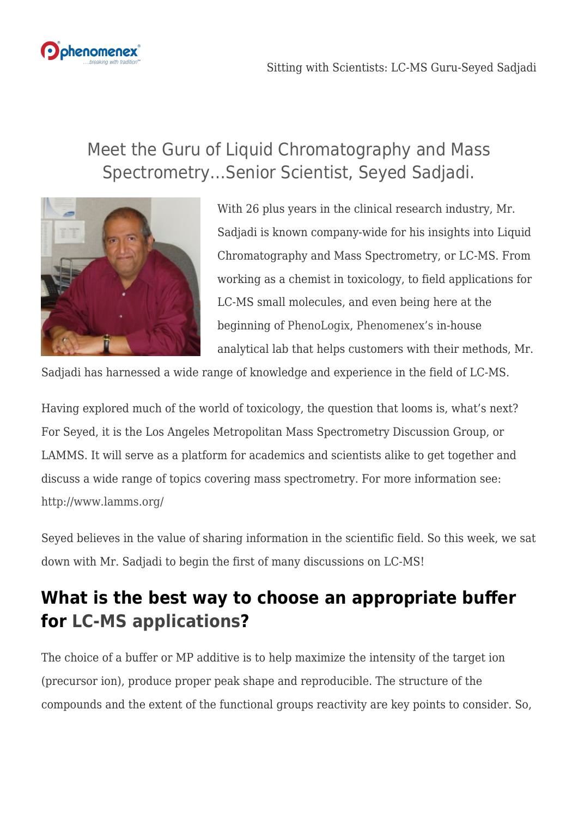

## Meet the Guru of Liquid Chromatography and Mass Spectrometry…Senior Scientist, Seyed Sadjadi.



With 26 plus years in the clinical research industry, Mr. Sadjadi is known company-wide for his insights into Liquid Chromatography and Mass Spectrometry, or LC-MS. From working as a chemist in toxicology, to field applications for LC-MS small molecules, and even being here at the beginning of [PhenoLogix](https://www.phenomenex.com/Home/Phenologix), [Phenomenex's](https://www.phenomenex.com) in-house analytical lab that helps customers with their methods, Mr.

Sadjadi has harnessed a wide range of knowledge and experience in the field of LC-MS.

Having explored much of the world of toxicology, the question that looms is, what's next? For Seyed, it is the Los Angeles Metropolitan Mass Spectrometry Discussion Group, or LAMMS. It will serve as a platform for academics and scientists alike to get together and discuss a wide range of topics covering mass spectrometry. For more information see: <http://www.lamms.org/>

Seyed believes in the value of sharing information in the scientific field. So this week, we sat down with Mr. Sadjadi to begin the first of many discussions on LC-MS!

## **What is the best way to choose an appropriate buffer for [LC-MS applications?](https://www.phenomenex.com/application)**

The choice of a buffer or MP additive is to help maximize the intensity of the target ion (precursor ion), produce proper peak shape and reproducible. The structure of the compounds and the extent of the functional groups reactivity are key points to consider. So,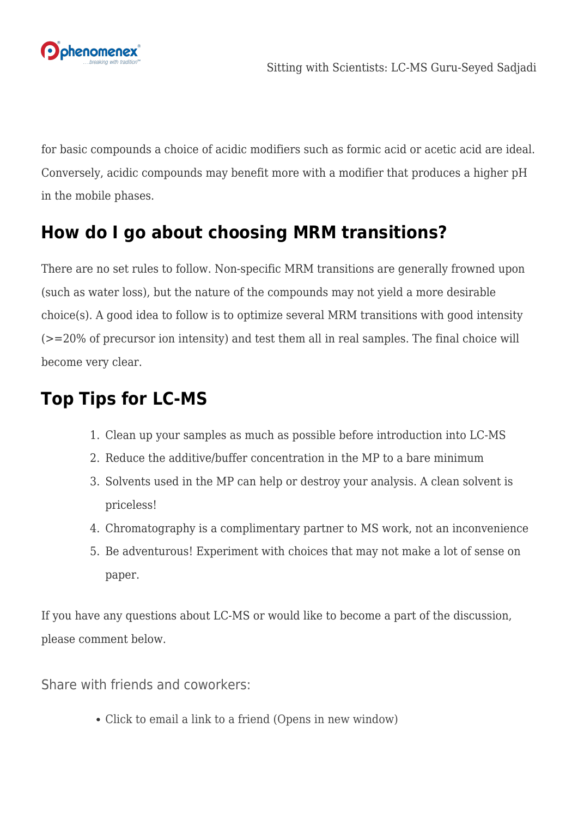

for basic compounds a choice of acidic modifiers such as formic acid or acetic acid are ideal. Conversely, acidic compounds may benefit more with a modifier that produces a higher pH in the mobile phases.

## **How do I go about choosing MRM transitions?**

There are no set rules to follow. Non-specific MRM transitions are generally frowned upon (such as water loss), but the nature of the compounds may not yield a more desirable choice(s). A good idea to follow is to optimize several MRM transitions with good intensity (>=20% of precursor ion intensity) and test them all in real samples. The final choice will become very clear.

## **Top Tips for LC-MS**

- 1. Clean up your samples as much as possible before introduction into LC-MS
- 2. Reduce the additive/buffer concentration in the MP to a bare minimum
- 3. Solvents used in the MP can help or destroy your analysis. A clean solvent is priceless!
- 4. Chromatography is a complimentary partner to MS work, not an inconvenience
- 5. Be adventurous! Experiment with choices that may not make a lot of sense on paper.

If you have any questions about LC-MS or would like to become a part of the discussion, please comment below.

Share with friends and coworkers:

[Click to email a link to a friend \(Opens in new window\)](mailto:?subject=%5BShared%20Post%5D%20Sitting%20with%20Scientists%3A%20LC-MS%20Guru-Seyed%20Sadjadi&body=https%3A%2F%2Fphenomenex.blog%2F2017%2F05%2F25%2Fsitting-with-scientist-lc-ms-guru-seyed-sadjadi%2F&share=email)